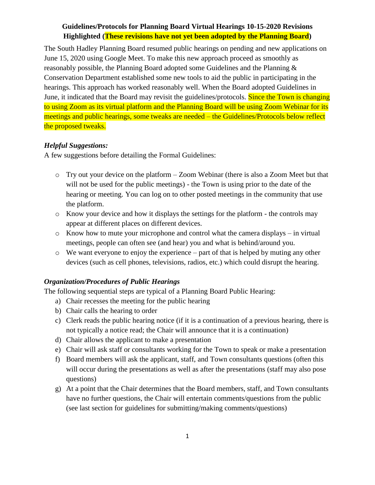The South Hadley Planning Board resumed public hearings on pending and new applications on June 15, 2020 using Google Meet. To make this new approach proceed as smoothly as reasonably possible, the Planning Board adopted some Guidelines and the Planning & Conservation Department established some new tools to aid the public in participating in the hearings. This approach has worked reasonably well. When the Board adopted Guidelines in June, it indicated that the Board may revisit the guidelines/protocols. Since the Town is changing to using Zoom as its virtual platform and the Planning Board will be using Zoom Webinar for its meetings and public hearings, some tweaks are needed – the Guidelines/Protocols below reflect the proposed tweaks.

#### *Helpful Suggestions:*

A few suggestions before detailing the Formal Guidelines:

- o Try out your device on the platform Zoom Webinar (there is also a Zoom Meet but that will not be used for the public meetings) - the Town is using prior to the date of the hearing or meeting. You can log on to other posted meetings in the community that use the platform.
- o Know your device and how it displays the settings for the platform the controls may appear at different places on different devices.
- o Know how to mute your microphone and control what the camera displays in virtual meetings, people can often see (and hear) you and what is behind/around you.
- o We want everyone to enjoy the experience part of that is helped by muting any other devices (such as cell phones, televisions, radios, etc.) which could disrupt the hearing.

#### *Organization/Procedures of Public Hearings*

The following sequential steps are typical of a Planning Board Public Hearing:

- a) Chair recesses the meeting for the public hearing
- b) Chair calls the hearing to order
- c) Clerk reads the public hearing notice (if it is a continuation of a previous hearing, there is not typically a notice read; the Chair will announce that it is a continuation)
- d) Chair allows the applicant to make a presentation
- e) Chair will ask staff or consultants working for the Town to speak or make a presentation
- f) Board members will ask the applicant, staff, and Town consultants questions (often this will occur during the presentations as well as after the presentations (staff may also pose questions)
- g) At a point that the Chair determines that the Board members, staff, and Town consultants have no further questions, the Chair will entertain comments/questions from the public (see last section for guidelines for submitting/making comments/questions)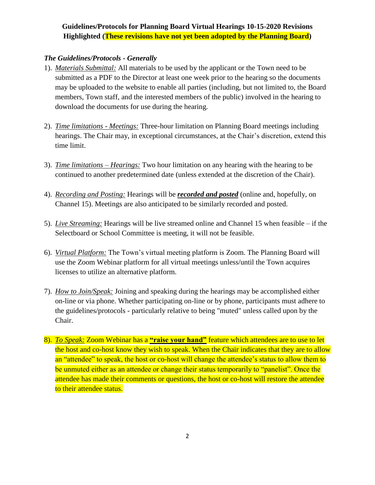#### *The Guidelines/Protocols - Generally*

- 1). *Materials Submittal:* All materials to be used by the applicant or the Town need to be submitted as a PDF to the Director at least one week prior to the hearing so the documents may be uploaded to the website to enable all parties (including, but not limited to, the Board members, Town staff, and the interested members of the public) involved in the hearing to download the documents for use during the hearing.
- 2). *Time limitations - Meetings:* Three-hour limitation on Planning Board meetings including hearings. The Chair may, in exceptional circumstances, at the Chair's discretion, extend this time limit.
- 3). *Time limitations – Hearings:* Two hour limitation on any hearing with the hearing to be continued to another predetermined date (unless extended at the discretion of the Chair).
- 4). *Recording and Posting:* Hearings will be *recorded and posted* (online and, hopefully, on Channel 15). Meetings are also anticipated to be similarly recorded and posted.
- 5). *Live Streaming:* Hearings will be live streamed online and Channel 15 when feasible if the Selectboard or School Committee is meeting, it will not be feasible.
- 6). *Virtual Platform:* The Town's virtual meeting platform is Zoom. The Planning Board will use the Zoom Webinar platform for all virtual meetings unless/until the Town acquires licenses to utilize an alternative platform.
- 7). *How to Join/Speak:* Joining and speaking during the hearings may be accomplished either on-line or via phone. Whether participating on-line or by phone, participants must adhere to the guidelines/protocols - particularly relative to being "muted" unless called upon by the Chair.
- 8). *To Speak:* Zoom Webinar has a **"raise your hand"** feature which attendees are to use to let the host and co-host know they wish to speak. When the Chair indicates that they are to allow an "attendee" to speak, the host or co-host will change the attendee's status to allow them to be unmuted either as an attendee or change their status temporarily to "panelist". Once the attendee has made their comments or questions, the host or co-host will restore the attendee to their attendee status.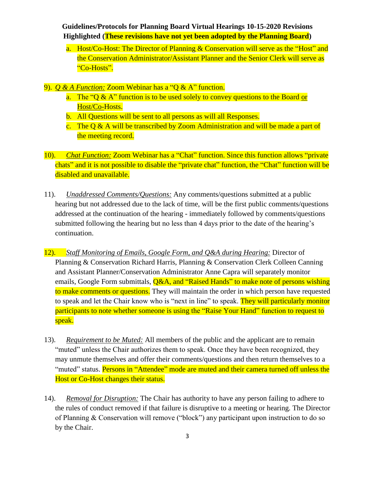- a. Host/Co-Host: The Director of Planning & Conservation will serve as the "Host" and the Conservation Administrator/Assistant Planner and the Senior Clerk will serve as "Co-Hosts".
- 9). *Q & A Function:* Zoom Webinar has a "Q & A" function.
	- a. The "Q & A" function is to be used solely to convey questions to the Board or Host/Co-Hosts.
	- b. All Questions will be sent to all persons as will all Responses.
	- c. The Q & A will be transcribed by Zoom Administration and will be made a part of the meeting record.
- 10). *Chat Function:* Zoom Webinar has a "Chat" function. Since this function allows "private chats" and it is not possible to disable the "private chat" function, the "Chat" function will be disabled and unavailable.
- 11). *Unaddressed Comments/Questions:* Any comments/questions submitted at a public hearing but not addressed due to the lack of time, will be the first public comments/questions addressed at the continuation of the hearing - immediately followed by comments/questions submitted following the hearing but no less than 4 days prior to the date of the hearing's continuation.
- 12). *Staff Monitoring of Emails, Google Form, and Q&A during Hearing:* Director of Planning & Conservation Richard Harris, Planning & Conservation Clerk Colleen Canning and Assistant Planner/Conservation Administrator Anne Capra will separately monitor emails, Google Form submittals, **Q&A, and "Raised Hands" to make note of persons wishing** to make comments or questions. They will maintain the order in which person have requested to speak and let the Chair know who is "next in line" to speak. They will particularly monitor participants to note whether someone is using the "Raise Your Hand" function to request to speak.
- 13). *Requirement to be Muted:* All members of the public and the applicant are to remain "muted" unless the Chair authorizes them to speak. Once they have been recognized, they may unmute themselves and offer their comments/questions and then return themselves to a "muted" status. Persons in "Attendee" mode are muted and their camera turned off unless the Host or Co-Host changes their status.
- 14). *Removal for Disruption:* The Chair has authority to have any person failing to adhere to the rules of conduct removed if that failure is disruptive to a meeting or hearing. The Director of Planning & Conservation will remove ("block") any participant upon instruction to do so by the Chair.